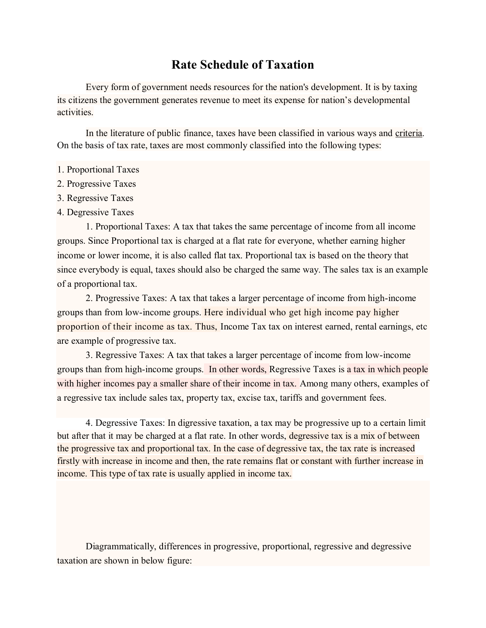## **Rate Schedule of Taxation**

Every form of government needs resources for the nation's development. It is by taxing its citizens the government generates revenue to meet its expense for nation's developmental activities.

In the literature of public [finance,](https://www.britannica.com/topic/finance) taxes have been classified in various ways and [criteria.](https://www.merriam-webster.com/dictionary/criteria) On the basis of tax rate, taxes are most commonly classified into the following types:

## 1. Proportional Taxes

- 2. Progressive Taxes
- 3. Regressive Taxes
- 4. Degressive Taxes

1. Proportional Taxes: A tax that takes the same percentage of income from all income groups. Since Proportional tax is charged at a flat rate for everyone, whether earning higher income or lower income, it is also called flat tax. Proportional tax is based on the theory that since everybody is equal, taxes should also be charged the same way. The sales tax is an example of a proportional tax.

2. Progressive Taxes: A tax that takes a larger percentage of income from high-income groups than from low-income groups. Here individual who get high income pay higher proportion of their income as tax. Thus, Income Tax tax on interest earned, rental earnings, etc are example of progressive tax.

3. Regressive Taxes: A tax that takes a larger percentage of income from low-income groups than from high-income groups. In other words, Regressive Taxes is a tax in which people with higher incomes pay a smaller share of their income in tax. Among many others, examples of a regressive tax include sales tax, property tax, excise tax, tariffs and government fees.

4. Degressive Taxes: In digressive taxation, a tax may be progressive up to a certain limit but after that it may be charged at a flat rate. In other words, degressive tax is a mix of between the progressive tax and proportional tax. In the case of degressive tax, the tax rate is increased firstly with increase in income and then, the rate remains flat or constant with further increase in income. This type of tax rate is usually applied in income tax.

Diagrammatically, differences in progressive, proportional, regressive and degressive taxation are shown in below figure: